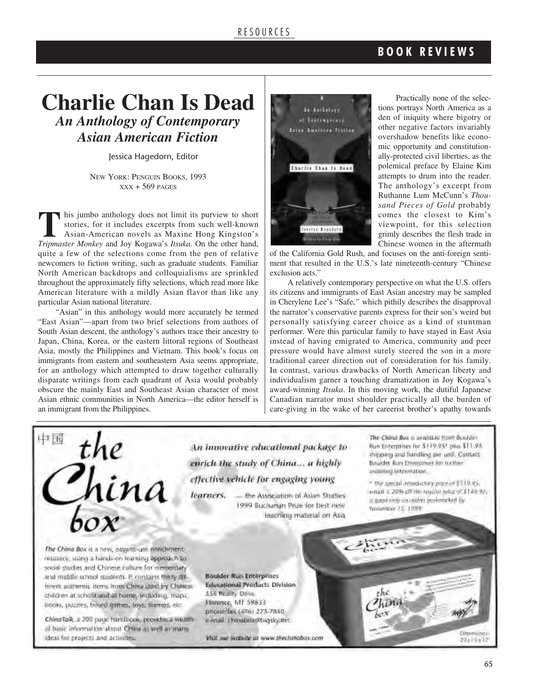## **Charlie Chan Is Dead** *An Anthology of Contemporary Asian American Fiction*

Jessica Hagedorn, Editor

NEW YORK: PENGUIN BOOKS, 1993  $XXX + 569$  PAGES

**T** his jumbo anthology does not limit its purview to short stories, for it includes excerpts from such well-known Asian-American novels as Maxine Hong Kingston's *Tripmaster Monkey* and Joy Kogawa's *Itsuka*. On the other hand, quite a few of the selections come from the pen of relative newcomers to fiction writing, such as graduate students. Familiar North American backdrops and colloquialisms are sprinkled throughout the approximately fifty selections, which read more like American literature with a mildly Asian flavor than like any particular Asian national literature.

"Asian" in this anthology would more accurately be termed "East Asian"—apart from two brief selections from authors of South Asian descent, the anthology's authors trace their ancestry to Japan, China, Korea, or the eastern littoral regions of Southeast Asia, mostly the Philippines and Vietnam. This book's focus on immigrants from eastern and southeastern Asia seems appropriate, for an anthology which attempted to draw together culturally disparate writings from each quadrant of Asia would probably obscure the mainly East and Southeast Asian character of most Asian ethnic communities in North America—the editor herself is an immigrant from the Philippines.



Practically none of the selections portrays North America as a den of iniquity where bigotry or other negative factors invariably overshadow benefits like economic opportunity and constitutionally-protected civil liberties, as the polemical preface by Elaine Kim attempts to drum into the reader. The anthology's excerpt from Ruthanne Lum McCunn's *Thousand Pieces of Gold* probably comes the closest to Kim's viewpoint, for this selection grimly describes the flesh trade in Chinese women in the aftermath

of the California Gold Rush, and focuses on the anti-foreign sentiment that resulted in the U.S.'s late nineteenth-century "Chinese exclusion acts."

A relatively contemporary perspective on what the U.S. offers its citizens and immigrants of East Asian ancestry may be sampled in Cherylene Lee's "Safe,*"* which pithily describes the disapproval the narrator's conservative parents express for their son's weird but personally satisfying career choice as a kind of stuntman performer. Were this particular family to have stayed in East Asia instead of having emigrated to America, community and peer pressure would have almost surely steered the son in a more traditional career direction out of consideration for his family. In contrast, various drawbacks of North American liberty and individualism garner a touching dramatization in Joy Kogawa's award-winning *Itsuka*. In this moving work, the dutiful Japanese Canadian narrator must shoulder practically all the burden of care-giving in the wake of her careerist brother's apathy towards

then.



The China Box is a new, pasy/to-use annichmentresource, using a hands-on learning approach to social studies and Chinese culture for elementary and middle school students. P. contains thirty offferent authentic items from China used by Chinese children at school and at home, including, maps, books, puzzles, bould games, toys, stamps, etc.

ChinaTalk, a 200 page handbook, provides a wealthof basic information about China as well as many ideas for projects and activities.

An innovative educational package to enrich the study of China... a highly effective vehicle for engaging young

learners. - the Association of Asian Studies 1999 Buchanan Prize for best new teaching material on Asia.

The China Box is available from Boulder Bun Enterprises for \$119.95\* plus \$11.95 shipping and handless per unit. Contact Boulder Run Enterprises for retitier andering information.

- The special introductory proce of \$119.95. wright is 20% off the require price of \$149.95. a good only on orders posimized by Nationales 15, 1999

**Boulder-Run Enterprises Educational Products Division** 556 Realty Drive Flaterice, MT 59833 phosin/fax.(406) 273-7840 e-mail: chinabox@bigsky.itet

Visit our website at www.thechinabox.com

**Cimeridonal** 

POx 15 v 17